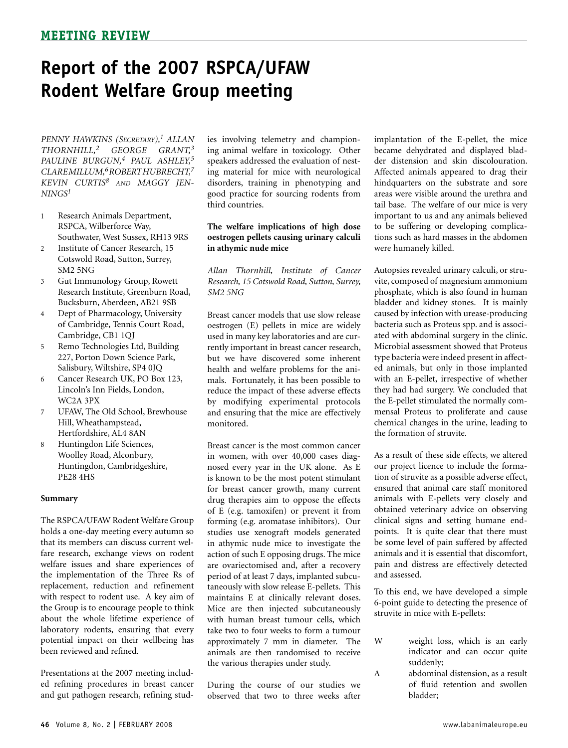*PENNY HAWKINS (Secretary),1 ALLAN THORNHILL,2 GEORGE GRANT, 3 PAULINE BURGUN,4 PAUL ASHLEY,5 CLARE MILLUM,6ROBERT HUBRECHT, 7 KEVIN CURTIS<sup>8</sup> and MAGGY JEN-* $NINGS<sup>1</sup>$ 

- 1 Research Animals Department, RSPCA, Wilberforce Way, Southwater, West Sussex, RH13 9RS
- 2 Institute of Cancer Research, 15 Cotswold Road, Sutton, Surrey, SM2 5NG
- 3 Gut Immunology Group, Rowett Research Institute, Greenburn Road, Bucksburn, Aberdeen, AB21 9SB
- 4 Dept of Pharmacology, University of Cambridge, Tennis Court Road, Cambridge, CB1 1QJ
- 5 Remo Technologies Ltd, Building 227, Porton Down Science Park, Salisbury, Wiltshire, SP4 0JQ
- 6 Cancer Research UK, PO Box 123, Lincoln's Inn Fields, London, WC2A 3PX
- 7 UFAW, The Old School, Brewhouse Hill, Wheathampstead, Hertfordshire, AL4 8AN
- 8 Huntingdon Life Sciences, Woolley Road, Alconbury, Huntingdon, Cambridgeshire, PE28 4HS

#### **Summary**

The RSPCA/UFAW Rodent Welfare Group holds a one-day meeting every autumn so that its members can discuss current welfare research, exchange views on rodent welfare issues and share experiences of the implementation of the Three Rs of replacement, reduction and refinement with respect to rodent use. A key aim of the Group is to encourage people to think about the whole lifetime experience of laboratory rodents, ensuring that every potential impact on their wellbeing has been reviewed and refined.

Presentations at the 2007 meeting included refining procedures in breast cancer and gut pathogen research, refining studies involving telemetry and championing animal welfare in toxicology. Other speakers addressed the evaluation of nesting material for mice with neurological disorders, training in phenotyping and good practice for sourcing rodents from third countries.

### **The welfare implications of high dose oestrogen pellets causing urinary calculi in athymic nude mice**

*Allan Thornhill, Institute of Cancer Research, 15 Cotswold Road, Sutton, Surrey, SM2 5NG*

Breast cancer models that use slow release oestrogen (E) pellets in mice are widely used in many key laboratories and are currently important in breast cancer research, but we have discovered some inherent health and welfare problems for the animals. Fortunately, it has been possible to reduce the impact of these adverse effects by modifying experimental protocols and ensuring that the mice are effectively monitored.

Breast cancer is the most common cancer in women, with over 40,000 cases diagnosed every year in the UK alone. As E is known to be the most potent stimulant for breast cancer growth, many current drug therapies aim to oppose the effects of E (e.g. tamoxifen) or prevent it from forming (e.g. aromatase inhibitors). Our studies use xenograft models generated in athymic nude mice to investigate the action of such E opposing drugs. The mice are ovariectomised and, after a recovery period of at least 7 days, implanted subcutaneously with slow release E-pellets. This maintains E at clinically relevant doses. Mice are then injected subcutaneously with human breast tumour cells, which take two to four weeks to form a tumour approximately 7 mm in diameter. The animals are then randomised to receive the various therapies under study.

During the course of our studies we observed that two to three weeks after

implantation of the E-pellet, the mice became dehydrated and displayed bladder distension and skin discolouration. Affected animals appeared to drag their hindquarters on the substrate and sore areas were visible around the urethra and tail base. The welfare of our mice is very important to us and any animals believed to be suffering or developing complications such as hard masses in the abdomen were humanely killed.

Autopsies revealed urinary calculi, or struvite, composed of magnesium ammonium phosphate, which is also found in human bladder and kidney stones. It is mainly caused by infection with urease-producing bacteria such as Proteus spp. and is associated with abdominal surgery in the clinic. Microbial assessment showed that Proteus type bacteria were indeed present in affected animals, but only in those implanted with an E-pellet, irrespective of whether they had had surgery. We concluded that the E-pellet stimulated the normally commensal Proteus to proliferate and cause chemical changes in the urine, leading to the formation of struvite.

As a result of these side effects, we altered our project licence to include the formation of struvite as a possible adverse effect, ensured that animal care staff monitored animals with E-pellets very closely and obtained veterinary advice on observing clinical signs and setting humane endpoints. It is quite clear that there must be some level of pain suffered by affected animals and it is essential that discomfort, pain and distress are effectively detected and assessed.

To this end, we have developed a simple 6-point guide to detecting the presence of struvite in mice with E-pellets:

- W weight loss, which is an early indicator and can occur quite suddenly;
- A abdominal distension, as a result of fluid retention and swollen bladder;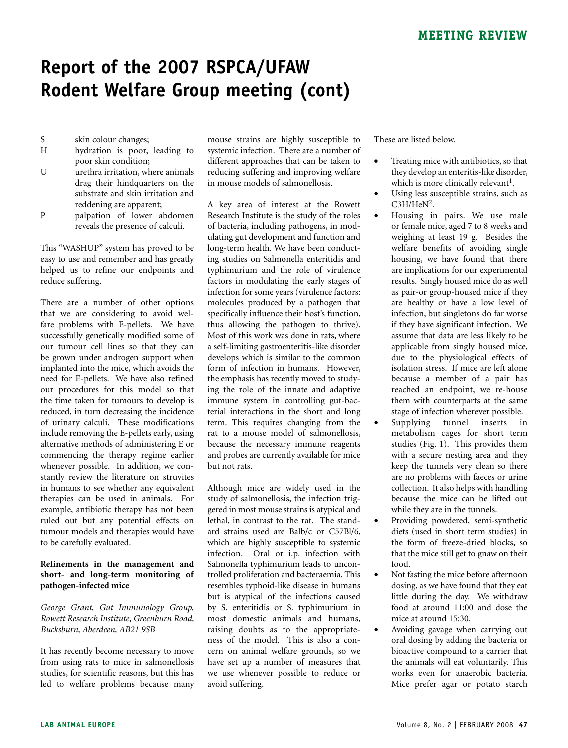- S skin colour changes;
- H hydration is poor, leading to poor skin condition;
- U urethra irritation, where animals drag their hindquarters on the substrate and skin irritation and reddening are apparent;
- P palpation of lower abdomen reveals the presence of calculi.

This "WASHUP" system has proved to be easy to use and remember and has greatly helped us to refine our endpoints and reduce suffering.

There are a number of other options that we are considering to avoid welfare problems with E-pellets. We have successfully genetically modified some of our tumour cell lines so that they can be grown under androgen support when implanted into the mice, which avoids the need for E-pellets. We have also refined our procedures for this model so that the time taken for tumours to develop is reduced, in turn decreasing the incidence of urinary calculi. These modifications include removing the E-pellets early, using alternative methods of administering E or commencing the therapy regime earlier whenever possible. In addition, we constantly review the literature on struvites in humans to see whether any equivalent therapies can be used in animals. For example, antibiotic therapy has not been ruled out but any potential effects on tumour models and therapies would have to be carefully evaluated.

### **Refinements in the management and short- and long-term monitoring of pathogen-infected mice**

*George Grant, Gut Immunology Group, Rowett Research Institute, Greenburn Road, Bucksburn, Aberdeen, AB21 9SB* 

It has recently become necessary to move from using rats to mice in salmonellosis studies, for scientific reasons, but this has led to welfare problems because many mouse strains are highly susceptible to systemic infection. There are a number of different approaches that can be taken to reducing suffering and improving welfare in mouse models of salmonellosis.

A key area of interest at the Rowett Research Institute is the study of the roles of bacteria, including pathogens, in modulating gut development and function and long-term health. We have been conducting studies on Salmonella enteritidis and typhimurium and the role of virulence factors in modulating the early stages of infection for some years (virulence factors: molecules produced by a pathogen that specifically influence their host's function, thus allowing the pathogen to thrive). Most of this work was done in rats, where a self-limiting gastroenteritis-like disorder develops which is similar to the common form of infection in humans. However, the emphasis has recently moved to studying the role of the innate and adaptive immune system in controlling gut-bacterial interactions in the short and long term. This requires changing from the rat to a mouse model of salmonellosis, because the necessary immune reagents and probes are currently available for mice but not rats.

Although mice are widely used in the study of salmonellosis, the infection triggered in most mouse strains is atypical and lethal, in contrast to the rat. The standard strains used are Balb/c or C57Bl/6, which are highly susceptible to systemic infection. Oral or i.p. infection with Salmonella typhimurium leads to uncontrolled proliferation and bacteraemia. This resembles typhoid-like disease in humans but is atypical of the infections caused by S. enteritidis or S. typhimurium in most domestic animals and humans, raising doubts as to the appropriateness of the model. This is also a concern on animal welfare grounds, so we have set up a number of measures that we use whenever possible to reduce or avoid suffering.

These are listed below.

- Treating mice with antibiotics, so that they develop an enteritis-like disorder, which is more clinically relevant<sup>1</sup>.
- Using less susceptible strains, such as  $C3H/HeN<sup>2</sup>$ .
- • Housing in pairs. We use male or female mice, aged 7 to 8 weeks and weighing at least 19 g. Besides the welfare benefits of avoiding single housing, we have found that there are implications for our experimental results. Singly housed mice do as well as pair-or group-housed mice if they are healthy or have a low level of infection, but singletons do far worse if they have significant infection. We assume that data are less likely to be applicable from singly housed mice, due to the physiological effects of isolation stress. If mice are left alone because a member of a pair has reached an endpoint, we re-house them with counterparts at the same stage of infection wherever possible.
- Supplying tunnel inserts in metabolism cages for short term studies (Fig. 1). This provides them with a secure nesting area and they keep the tunnels very clean so there are no problems with faeces or urine collection. It also helps with handling because the mice can be lifted out while they are in the tunnels.
- Providing powdered, semi-synthetic diets (used in short term studies) in the form of freeze-dried blocks, so that the mice still get to gnaw on their food.
- Not fasting the mice before afternoon dosing, as we have found that they eat little during the day. We withdraw food at around 11:00 and dose the mice at around 15:30.
- Avoiding gavage when carrying out oral dosing by adding the bacteria or bioactive compound to a carrier that the animals will eat voluntarily. This works even for anaerobic bacteria. Mice prefer agar or potato starch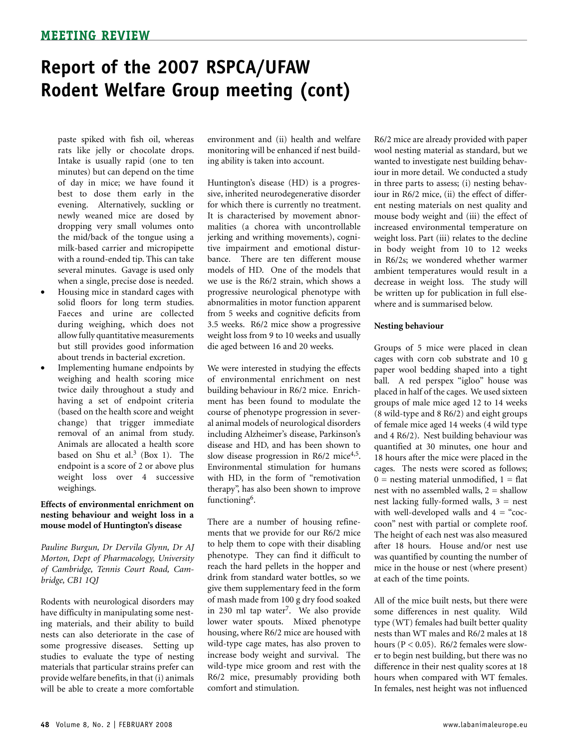paste spiked with fish oil, whereas rats like jelly or chocolate drops. Intake is usually rapid (one to ten minutes) but can depend on the time of day in mice; we have found it best to dose them early in the evening. Alternatively, suckling or newly weaned mice are dosed by dropping very small volumes onto the mid/back of the tongue using a milk-based carrier and micropipette with a round-ended tip. This can take several minutes. Gavage is used only when a single, precise dose is needed.

- Housing mice in standard cages with solid floors for long term studies. Faeces and urine are collected during weighing, which does not allow fully quantitative measurements but still provides good information about trends in bacterial excretion.
- Implementing humane endpoints by weighing and health scoring mice twice daily throughout a study and having a set of endpoint criteria (based on the health score and weight change) that trigger immediate removal of an animal from study. Animals are allocated a health score based on Shu et al.<sup>3</sup> (Box 1). The endpoint is a score of 2 or above plus weight loss over 4 successive weighings.

### **Effects of environmental enrichment on nesting behaviour and weight loss in a mouse model of Huntington's disease**

*Pauline Burgun, Dr Dervila Glynn, Dr AJ Morton, Dept of Pharmacology, University of Cambridge, Tennis Court Road, Cambridge, CB1 1QJ*

Rodents with neurological disorders may have difficulty in manipulating some nesting materials, and their ability to build nests can also deteriorate in the case of some progressive diseases. Setting up studies to evaluate the type of nesting materials that particular strains prefer can provide welfare benefits, in that (i) animals will be able to create a more comfortable

environment and (ii) health and welfare monitoring will be enhanced if nest building ability is taken into account.

Huntington's disease (HD) is a progressive, inherited neurodegenerative disorder for which there is currently no treatment. It is characterised by movement abnormalities (a chorea with uncontrollable jerking and writhing movements), cognitive impairment and emotional disturbance. There are ten different mouse models of HD. One of the models that we use is the R6/2 strain, which shows a progressive neurological phenotype with abnormalities in motor function apparent from 5 weeks and cognitive deficits from 3.5 weeks. R6/2 mice show a progressive weight loss from 9 to 10 weeks and usually die aged between 16 and 20 weeks.

We were interested in studying the effects of environmental enrichment on nest building behaviour in R6/2 mice. Enrichment has been found to modulate the course of phenotype progression in several animal models of neurological disorders including Alzheimer's disease, Parkinson's disease and HD, and has been shown to slow disease progression in R6/2 mice $4.5$ . Environmental stimulation for humans with HD, in the form of "remotivation therapy", has also been shown to improve functioning<sup>6</sup>.

There are a number of housing refinements that we provide for our R6/2 mice to help them to cope with their disabling phenotype. They can find it difficult to reach the hard pellets in the hopper and drink from standard water bottles, so we give them supplementary feed in the form of mash made from 100 g dry food soaked in 230 ml tap water<sup>7</sup>. We also provide lower water spouts. Mixed phenotype housing, where R6/2 mice are housed with wild-type cage mates, has also proven to increase body weight and survival. The wild-type mice groom and rest with the R6/2 mice, presumably providing both comfort and stimulation.

R6/2 mice are already provided with paper wool nesting material as standard, but we wanted to investigate nest building behaviour in more detail. We conducted a study in three parts to assess; (i) nesting behaviour in R6/2 mice, (ii) the effect of different nesting materials on nest quality and mouse body weight and (iii) the effect of increased environmental temperature on weight loss. Part (iii) relates to the decline in body weight from 10 to 12 weeks in R6/2s; we wondered whether warmer ambient temperatures would result in a decrease in weight loss. The study will be written up for publication in full elsewhere and is summarised below.

### **Nesting behaviour**

Groups of 5 mice were placed in clean cages with corn cob substrate and 10 g paper wool bedding shaped into a tight ball. A red perspex "igloo" house was placed in half of the cages. We used sixteen groups of male mice aged 12 to 14 weeks (8 wild-type and 8 R6/2) and eight groups of female mice aged 14 weeks (4 wild type and 4 R6/2). Nest building behaviour was quantified at 30 minutes, one hour and 18 hours after the mice were placed in the cages. The nests were scored as follows;  $0 =$  nesting material unmodified,  $1 =$  flat nest with no assembled walls,  $2 =$  shallow nest lacking fully-formed walls,  $3 =$  nest with well-developed walls and  $4 =$  "coccoon" nest with partial or complete roof. The height of each nest was also measured after 18 hours. House and/or nest use was quantified by counting the number of mice in the house or nest (where present) at each of the time points.

All of the mice built nests, but there were some differences in nest quality. Wild type (WT) females had built better quality nests than WT males and R6/2 males at 18 hours ( $P < 0.05$ ). R6/2 females were slower to begin nest building, but there was no difference in their nest quality scores at 18 hours when compared with WT females. In females, nest height was not influenced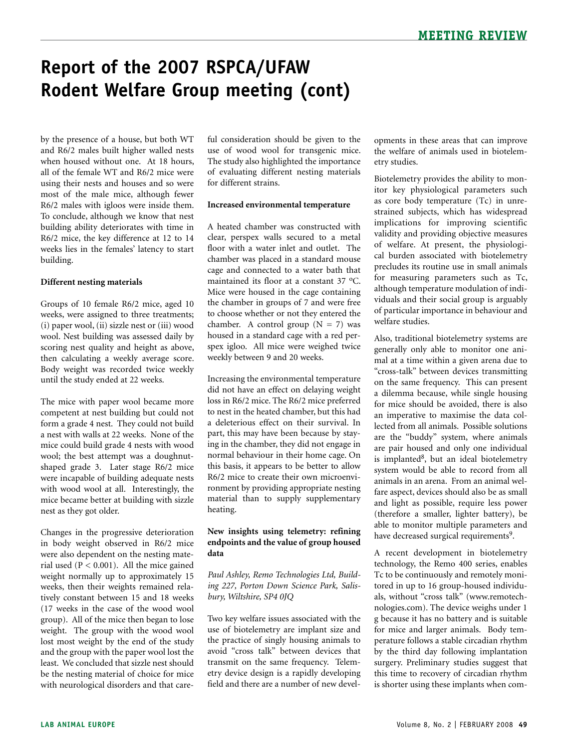by the presence of a house, but both WT and R6/2 males built higher walled nests when housed without one. At 18 hours, all of the female WT and R6/2 mice were using their nests and houses and so were most of the male mice, although fewer R6/2 males with igloos were inside them. To conclude, although we know that nest building ability deteriorates with time in R6/2 mice, the key difference at 12 to 14 weeks lies in the females' latency to start building.

### **Different nesting materials**

Groups of 10 female R6/2 mice, aged 10 weeks, were assigned to three treatments; (i) paper wool, (ii) sizzle nest or (iii) wood wool. Nest building was assessed daily by scoring nest quality and height as above, then calculating a weekly average score. Body weight was recorded twice weekly until the study ended at 22 weeks.

The mice with paper wool became more competent at nest building but could not form a grade 4 nest. They could not build a nest with walls at 22 weeks. None of the mice could build grade 4 nests with wood wool; the best attempt was a doughnutshaped grade 3. Later stage R6/2 mice were incapable of building adequate nests with wood wool at all. Interestingly, the mice became better at building with sizzle nest as they got older.

Changes in the progressive deterioration in body weight observed in R6/2 mice were also dependent on the nesting material used ( $P < 0.001$ ). All the mice gained weight normally up to approximately 15 weeks, then their weights remained relatively constant between 15 and 18 weeks (17 weeks in the case of the wood wool group). All of the mice then began to lose weight. The group with the wood wool lost most weight by the end of the study and the group with the paper wool lost the least. We concluded that sizzle nest should be the nesting material of choice for mice with neurological disorders and that careful consideration should be given to the use of wood wool for transgenic mice. The study also highlighted the importance of evaluating different nesting materials for different strains.

#### **Increased environmental temperature**

A heated chamber was constructed with clear, perspex walls secured to a metal floor with a water inlet and outlet. The chamber was placed in a standard mouse cage and connected to a water bath that maintained its floor at a constant 37 °C. Mice were housed in the cage containing the chamber in groups of 7 and were free to choose whether or not they entered the chamber. A control group  $(N = 7)$  was housed in a standard cage with a red perspex igloo. All mice were weighed twice weekly between 9 and 20 weeks.

Increasing the environmental temperature did not have an effect on delaying weight loss in R6/2 mice. The R6/2 mice preferred to nest in the heated chamber, but this had a deleterious effect on their survival. In part, this may have been because by staying in the chamber, they did not engage in normal behaviour in their home cage. On this basis, it appears to be better to allow R6/2 mice to create their own microenvironment by providing appropriate nesting material than to supply supplementary heating.

### **New insights using telemetry: refining endpoints and the value of group housed data**

*Paul Ashley, Remo Technologies Ltd, Building 227, Porton Down Science Park, Salisbury, Wiltshire, SP4 0JQ*

Two key welfare issues associated with the use of biotelemetry are implant size and the practice of singly housing animals to avoid "cross talk" between devices that transmit on the same frequency. Telemetry device design is a rapidly developing field and there are a number of new developments in these areas that can improve the welfare of animals used in biotelemetry studies.

Biotelemetry provides the ability to monitor key physiological parameters such as core body temperature (Tc) in unrestrained subjects, which has widespread implications for improving scientific validity and providing objective measures of welfare. At present, the physiological burden associated with biotelemetry precludes its routine use in small animals for measuring parameters such as Tc, although temperature modulation of individuals and their social group is arguably of particular importance in behaviour and welfare studies.

Also, traditional biotelemetry systems are generally only able to monitor one animal at a time within a given arena due to "cross-talk" between devices transmitting on the same frequency. This can present a dilemma because, while single housing for mice should be avoided, there is also an imperative to maximise the data collected from all animals. Possible solutions are the "buddy" system, where animals are pair housed and only one individual is implanted<sup>8</sup>, but an ideal biotelemetry system would be able to record from all animals in an arena. From an animal welfare aspect, devices should also be as small and light as possible, require less power (therefore a smaller, lighter battery), be able to monitor multiple parameters and have decreased surgical requirements<sup>9</sup>.

A recent development in biotelemetry technology, the Remo 400 series, enables Tc to be continuously and remotely monitored in up to 16 group-housed individuals, without "cross talk" (www.remotechnologies.com). The device weighs under 1 g because it has no battery and is suitable for mice and larger animals. Body temperature follows a stable circadian rhythm by the third day following implantation surgery. Preliminary studies suggest that this time to recovery of circadian rhythm is shorter using these implants when com-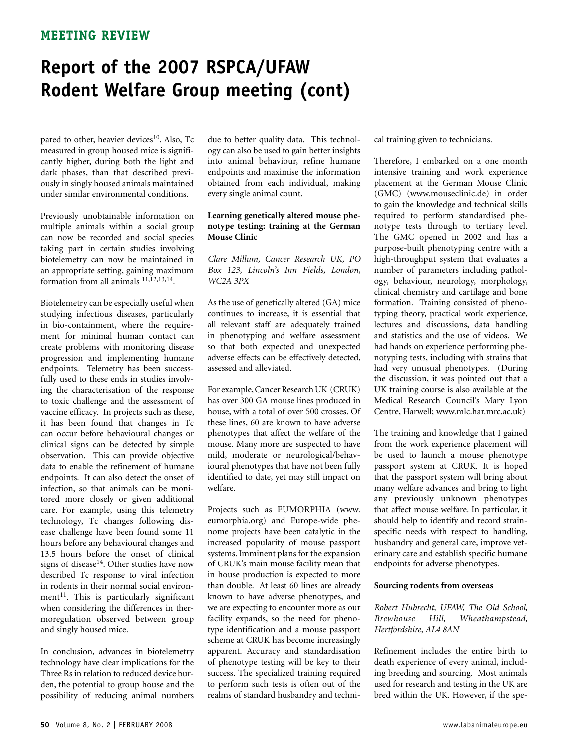pared to other, heavier devices<sup>10</sup>. Also, Tc measured in group housed mice is significantly higher, during both the light and dark phases, than that described previously in singly housed animals maintained under similar environmental conditions.

Previously unobtainable information on multiple animals within a social group can now be recorded and social species taking part in certain studies involving biotelemetry can now be maintained in an appropriate setting, gaining maximum formation from all animals 11,12,13,14.

Biotelemetry can be especially useful when studying infectious diseases, particularly in bio-containment, where the requirement for minimal human contact can create problems with monitoring disease progression and implementing humane endpoints. Telemetry has been successfully used to these ends in studies involving the characterisation of the response to toxic challenge and the assessment of vaccine efficacy. In projects such as these, it has been found that changes in Tc can occur before behavioural changes or clinical signs can be detected by simple observation. This can provide objective data to enable the refinement of humane endpoints. It can also detect the onset of infection, so that animals can be monitored more closely or given additional care. For example, using this telemetry technology, Tc changes following disease challenge have been found some 11 hours before any behavioural changes and 13.5 hours before the onset of clinical signs of disease<sup>14</sup>. Other studies have now described Tc response to viral infection in rodents in their normal social environment $11$ . This is particularly significant when considering the differences in thermoregulation observed between group and singly housed mice.

In conclusion, advances in biotelemetry technology have clear implications for the Three Rs in relation to reduced device burden, the potential to group house and the possibility of reducing animal numbers

due to better quality data. This technology can also be used to gain better insights into animal behaviour, refine humane endpoints and maximise the information obtained from each individual, making every single animal count.

#### **Learning genetically altered mouse phenotype testing: training at the German Mouse Clinic**

*Clare Millum, Cancer Research UK, PO Box 123, Lincoln's Inn Fields, London, WC2A 3PX*

As the use of genetically altered (GA) mice continues to increase, it is essential that all relevant staff are adequately trained in phenotyping and welfare assessment so that both expected and unexpected adverse effects can be effectively detected, assessed and alleviated.

For example, Cancer Research UK (CRUK) has over 300 GA mouse lines produced in house, with a total of over 500 crosses. Of these lines, 60 are known to have adverse phenotypes that affect the welfare of the mouse. Many more are suspected to have mild, moderate or neurological/behavioural phenotypes that have not been fully identified to date, yet may still impact on welfare.

Projects such as EUMORPHIA (www. eumorphia.org) and Europe-wide phenome projects have been catalytic in the increased popularity of mouse passport systems. Imminent plans for the expansion of CRUK's main mouse facility mean that in house production is expected to more than double. At least 60 lines are already known to have adverse phenotypes, and we are expecting to encounter more as our facility expands, so the need for phenotype identification and a mouse passport scheme at CRUK has become increasingly apparent. Accuracy and standardisation of phenotype testing will be key to their success. The specialized training required to perform such tests is often out of the realms of standard husbandry and technical training given to technicians.

Therefore, I embarked on a one month intensive training and work experience placement at the German Mouse Clinic (GMC) (www.mouseclinic.de) in order to gain the knowledge and technical skills required to perform standardised phenotype tests through to tertiary level. The GMC opened in 2002 and has a purpose-built phenotyping centre with a high-throughput system that evaluates a number of parameters including pathology, behaviour, neurology, morphology, clinical chemistry and cartilage and bone formation. Training consisted of phenotyping theory, practical work experience, lectures and discussions, data handling and statistics and the use of videos. We had hands on experience performing phenotyping tests, including with strains that had very unusual phenotypes. (During the discussion, it was pointed out that a UK training course is also available at the Medical Research Council's Mary Lyon Centre, Harwell; www.mlc.har.mrc.ac.uk)

The training and knowledge that I gained from the work experience placement will be used to launch a mouse phenotype passport system at CRUK. It is hoped that the passport system will bring about many welfare advances and bring to light any previously unknown phenotypes that affect mouse welfare. In particular, it should help to identify and record strainspecific needs with respect to handling, husbandry and general care, improve veterinary care and establish specific humane endpoints for adverse phenotypes.

#### **Sourcing rodents from overseas**

*Robert Hubrecht, UFAW, The Old School, Brewhouse Hill, Wheathampstead, Hertfordshire, AL4 8AN*

Refinement includes the entire birth to death experience of every animal, including breeding and sourcing. Most animals used for research and testing in the UK are bred within the UK. However, if the spe-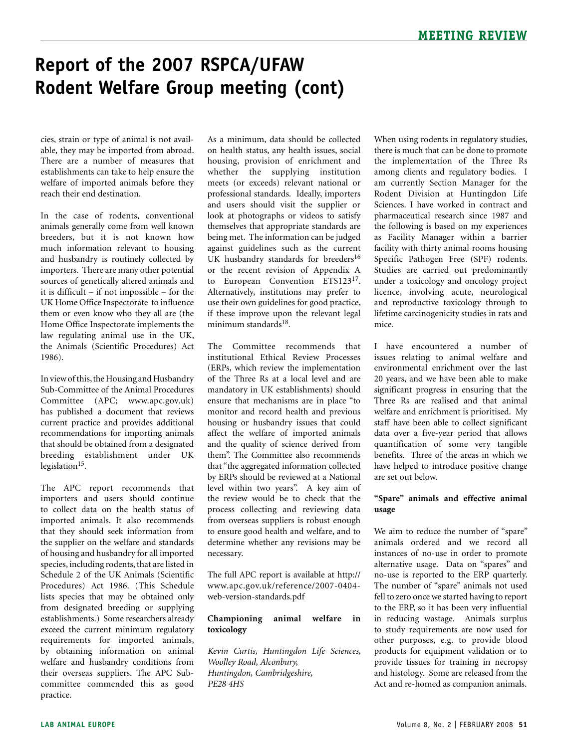cies, strain or type of animal is not available, they may be imported from abroad. There are a number of measures that establishments can take to help ensure the welfare of imported animals before they reach their end destination.

In the case of rodents, conventional animals generally come from well known breeders, but it is not known how much information relevant to housing and husbandry is routinely collected by importers. There are many other potential sources of genetically altered animals and it is difficult – if not impossible – for the UK Home Office Inspectorate to influence them or even know who they all are (the Home Office Inspectorate implements the law regulating animal use in the UK, the Animals (Scientific Procedures) Act 1986).

In view of this, the Housing and Husbandry Sub-Committee of the Animal Procedures Committee (APC; www.apc.gov.uk) has published a document that reviews current practice and provides additional recommendations for importing animals that should be obtained from a designated breeding establishment under UK legislation $15$ .

The APC report recommends that importers and users should continue to collect data on the health status of imported animals. It also recommends that they should seek information from the supplier on the welfare and standards of housing and husbandry for all imported species, including rodents, that are listed in Schedule 2 of the UK Animals (Scientific Procedures) Act 1986. (This Schedule lists species that may be obtained only from designated breeding or supplying establishments.) Some researchers already exceed the current minimum regulatory requirements for imported animals, by obtaining information on animal welfare and husbandry conditions from their overseas suppliers. The APC Subcommittee commended this as good practice.

As a minimum, data should be collected on health status, any health issues, social housing, provision of enrichment and whether the supplying institution meets (or exceeds) relevant national or professional standards. Ideally, importers and users should visit the supplier or look at photographs or videos to satisfy themselves that appropriate standards are being met. The information can be judged against guidelines such as the current UK husbandry standards for breeders<sup>16</sup> or the recent revision of Appendix A to European Convention ETS12317. Alternatively, institutions may prefer to use their own guidelines for good practice, if these improve upon the relevant legal minimum standards<sup>18</sup>.

The Committee recommends that institutional Ethical Review Processes (ERPs, which review the implementation of the Three Rs at a local level and are mandatory in UK establishments) should ensure that mechanisms are in place "to monitor and record health and previous housing or husbandry issues that could affect the welfare of imported animals and the quality of science derived from them". The Committee also recommends that "the aggregated information collected by ERPs should be reviewed at a National level within two years". A key aim of the review would be to check that the process collecting and reviewing data from overseas suppliers is robust enough to ensure good health and welfare, and to determine whether any revisions may be necessary.

The full APC report is available at http:// www.apc.gov.uk/reference/2007-0404 web-version-standards.pdf

### **Championing animal welfare in toxicology**

*Kevin Curtis, Huntingdon Life Sciences, Woolley Road, Alconbury, Huntingdon, Cambridgeshire, PE28 4HS*

When using rodents in regulatory studies, there is much that can be done to promote the implementation of the Three Rs among clients and regulatory bodies. I am currently Section Manager for the Rodent Division at Huntingdon Life Sciences. I have worked in contract and pharmaceutical research since 1987 and the following is based on my experiences as Facility Manager within a barrier facility with thirty animal rooms housing Specific Pathogen Free (SPF) rodents. Studies are carried out predominantly under a toxicology and oncology project licence, involving acute, neurological and reproductive toxicology through to lifetime carcinogenicity studies in rats and mice.

I have encountered a number of issues relating to animal welfare and environmental enrichment over the last 20 years, and we have been able to make significant progress in ensuring that the Three Rs are realised and that animal welfare and enrichment is prioritised. My staff have been able to collect significant data over a five-year period that allows quantification of some very tangible benefits. Three of the areas in which we have helped to introduce positive change are set out below.

### **"Spare" animals and effective animal usage**

We aim to reduce the number of "spare" animals ordered and we record all instances of no-use in order to promote alternative usage. Data on "spares" and no-use is reported to the ERP quarterly. The number of "spare" animals not used fell to zero once we started having to report to the ERP, so it has been very influential in reducing wastage. Animals surplus to study requirements are now used for other purposes, e.g. to provide blood products for equipment validation or to provide tissues for training in necropsy and histology. Some are released from the Act and re-homed as companion animals.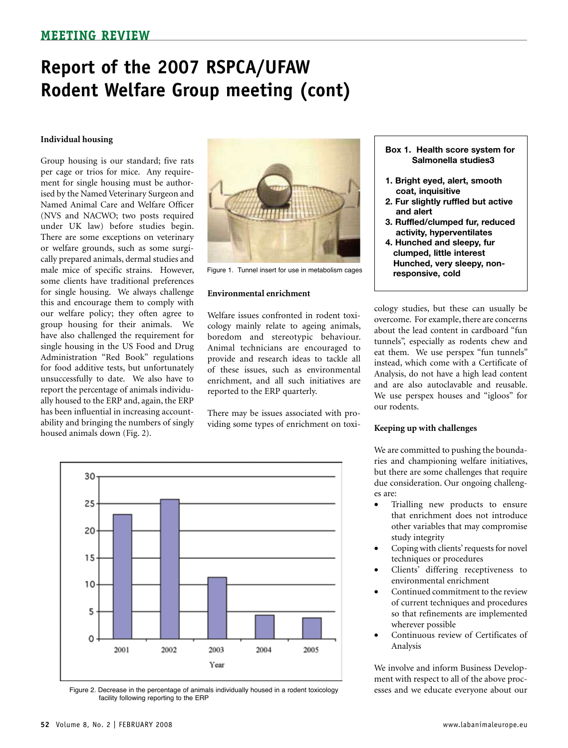#### **Individual housing**

Group housing is our standard; five rats per cage or trios for mice. Any requirement for single housing must be authorised by the Named Veterinary Surgeon and Named Animal Care and Welfare Officer (NVS and NACWO; two posts required under UK law) before studies begin. There are some exceptions on veterinary or welfare grounds, such as some surgically prepared animals, dermal studies and male mice of specific strains. However, some clients have traditional preferences for single housing. We always challenge this and encourage them to comply with our welfare policy; they often agree to group housing for their animals. We have also challenged the requirement for single housing in the US Food and Drug Administration "Red Book" regulations for food additive tests, but unfortunately unsuccessfully to date. We also have to report the percentage of animals individually housed to the ERP and, again, the ERP has been influential in increasing accountability and bringing the numbers of singly housed animals down (Fig. 2).



Figure 1. Tunnel insert for use in metabolism cages

#### **Environmental enrichment**

Welfare issues confronted in rodent toxicology mainly relate to ageing animals, boredom and stereotypic behaviour. Animal technicians are encouraged to provide and research ideas to tackle all of these issues, such as environmental enrichment, and all such initiatives are reported to the ERP quarterly.

There may be issues associated with providing some types of enrichment on toxi-



Figure 2. Decrease in the percentage of animals individually housed in a rodent toxicology facility following reporting to the ERP

- **Box 1. Health score system for Salmonella studies3**
- **1. Bright eyed, alert, smooth coat, inquisitive**
- **2. Fur slightly ruffled but active and alert**
- **3. Ruffled/clumped fur, reduced activity, hyperventilates**
- **4. Hunched and sleepy, fur clumped, little interest Hunched, very sleepy, non responsive, cold**

cology studies, but these can usually be overcome. For example, there are concerns about the lead content in cardboard "fun tunnels", especially as rodents chew and eat them. We use perspex "fun tunnels" instead, which come with a Certificate of Analysis, do not have a high lead content and are also autoclavable and reusable. We use perspex houses and "igloos" for our rodents.

#### **Keeping up with challenges**

We are committed to pushing the boundaries and championing welfare initiatives, but there are some challenges that require due consideration. Our ongoing challenges are:

- • Trialling new products to ensure that enrichment does not introduce other variables that may compromise study integrity
- Coping with clients' requests for novel techniques or procedures
- Clients' differing receptiveness to environmental enrichment
- Continued commitment to the review of current techniques and procedures so that refinements are implemented wherever possible
- Continuous review of Certificates of Analysis

We involve and inform Business Development with respect to all of the above processes and we educate everyone about our